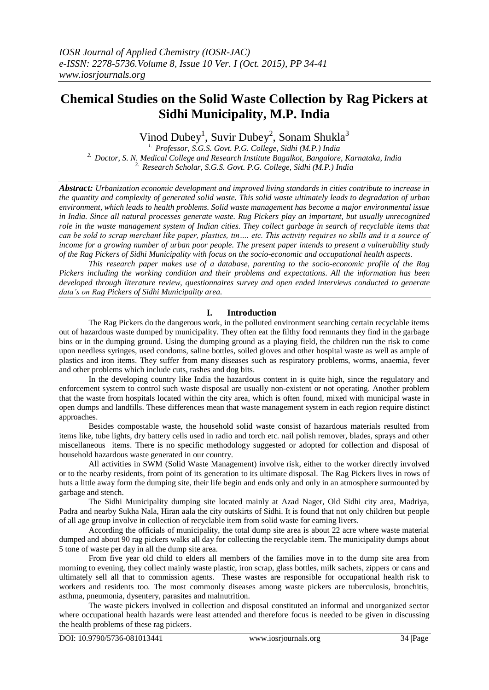# **Chemical Studies on the Solid Waste Collection by Rag Pickers at Sidhi Municipality, M.P. India**

Vinod Dubey<sup>1</sup>, Suvir Dubey<sup>2</sup>, Sonam Shukla<sup>3</sup>

*1. Professor, S.G.S. Govt. P.G. College, Sidhi (M.P.) India 2. Doctor, S. N. Medical College and Research Institute Bagalkot, Bangalore, Karnataka, India 3. Research Scholar, S.G.S. Govt. P.G. College, Sidhi (M.P.) India*

*Abstract: Urbanization economic development and improved living standards in cities contribute to increase in the quantity and complexity of generated solid waste. This solid waste ultimately leads to degradation of urban environment, which leads to health problems. Solid waste management has become a major environmental issue in India. Since all natural processes generate waste. Rug Pickers play an important, but usually unrecognized role in the waste management system of Indian cities. They collect garbage in search of recyclable items that can be sold to scrap merchant like paper, plastics, tin…. etc. This activity requires no skills and is a source of income for a growing number of urban poor people. The present paper intends to present a vulnerability study of the Rag Pickers of Sidhi Municipality with focus on the socio-economic and occupational health aspects.* 

*This research paper makes use of a database, parenting to the socio-economic profile of the Rag Pickers including the working condition and their problems and expectations. All the information has been developed through literature review, questionnaires survey and open ended interviews conducted to generate data's on Rag Pickers of Sidhi Municipality area.* 

## **I. Introduction**

The Rag Pickers do the dangerous work, in the polluted environment searching certain recyclable items out of hazardous waste dumped by municipality. They often eat the filthy food remnants they find in the garbage bins or in the dumping ground. Using the dumping ground as a playing field, the children run the risk to come upon needless syringes, used condoms, saline bottles, soiled gloves and other hospital waste as well as ample of plastics and iron items. They suffer from many diseases such as respiratory problems, worms, anaemia, fever and other problems which include cuts, rashes and dog bits.

In the developing country like India the hazardous content in is quite high, since the regulatory and enforcement system to control such waste disposal are usually non-existent or not operating. Another problem that the waste from hospitals located within the city area, which is often found, mixed with municipal waste in open dumps and landfills. These differences mean that waste management system in each region require distinct approaches.

Besides compostable waste, the household solid waste consist of hazardous materials resulted from items like, tube lights, dry battery cells used in radio and torch etc. nail polish remover, blades, sprays and other miscellaneous items. There is no specific methodology suggested or adopted for collection and disposal of household hazardous waste generated in our country.

All activities in SWM (Solid Waste Management) involve risk, either to the worker directly involved or to the nearby residents, from point of its generation to its ultimate disposal. The Rag Pickers lives in rows of huts a little away form the dumping site, their life begin and ends only and only in an atmosphere surmounted by garbage and stench.

The Sidhi Municipality dumping site located mainly at Azad Nager, Old Sidhi city area, Madriya, Padra and nearby Sukha Nala, Hiran aala the city outskirts of Sidhi. It is found that not only children but people of all age group involve in collection of recyclable item from solid waste for earning livers.

According the officials of municipality, the total dump site area is about 22 acre where waste material dumped and about 90 rag pickers walks all day for collecting the recyclable item. The municipality dumps about 5 tone of waste per day in all the dump site area.

From five year old child to elders all members of the families move in to the dump site area from morning to evening, they collect mainly waste plastic, iron scrap, glass bottles, milk sachets, zippers or cans and ultimately sell all that to commission agents. These wastes are responsible for occupational health risk to workers and residents too. The most commonly diseases among waste pickers are tuberculosis, bronchitis, asthma, pneumonia, dysentery, parasites and malnutrition.

The waste pickers involved in collection and disposal constituted an informal and unorganized sector where occupational health hazards were least attended and therefore focus is needed to be given in discussing the health problems of these rag pickers.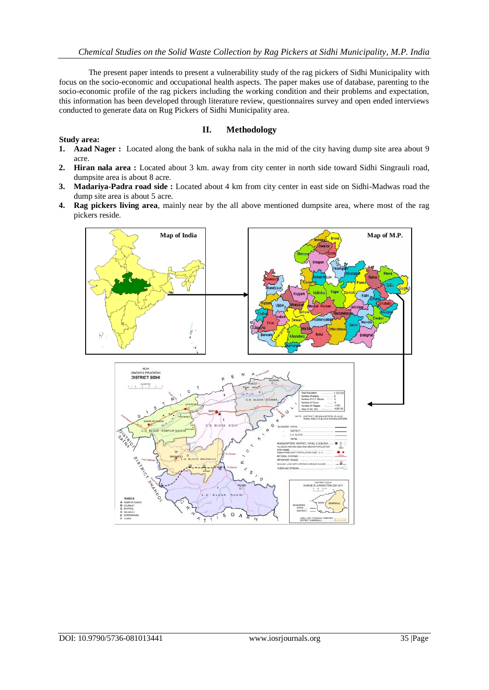The present paper intends to present a vulnerability study of the rag pickers of Sidhi Municipality with focus on the socio-economic and occupational health aspects. The paper makes use of database, parenting to the socio-economic profile of the rag pickers including the working condition and their problems and expectation, this information has been developed through literature review, questionnaires survey and open ended interviews conducted to generate data on Rug Pickers of Sidhi Municipality area.

## **II. Methodology**

### **Study area:**

- **1. Azad Nager :** Located along the bank of sukha nala in the mid of the city having dump site area about 9 acre.
- **2. Hiran nala area :** Located about 3 km. away from city center in north side toward Sidhi Singrauli road, dumpsite area is about 8 acre.
- **3. Madariya-Padra road side :** Located about 4 km from city center in east side on Sidhi-Madwas road the dump site area is about 5 acre.
- **4. Rag pickers living area**, mainly near by the all above mentioned dumpsite area, where most of the rag pickers reside.

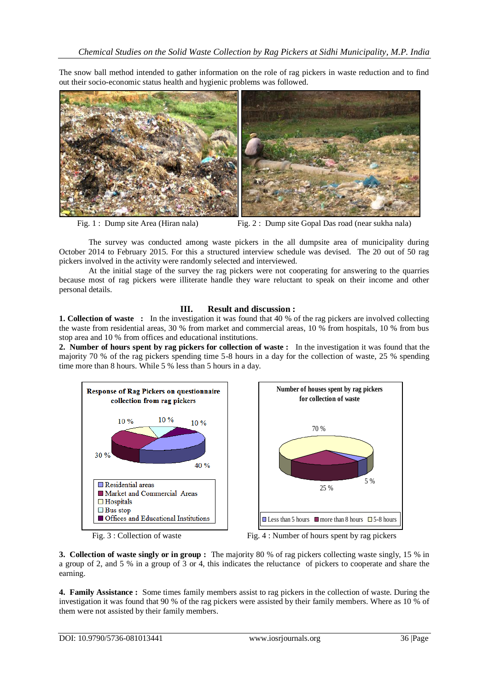The snow ball method intended to gather information on the role of rag pickers in waste reduction and to find out their socio-economic status health and hygienic problems was followed.



Fig. 1 : Dump site Area (Hiran nala) Fig. 2 : Dump site Gopal Das road (near sukha nala)

The survey was conducted among waste pickers in the all dumpsite area of municipality during October 2014 to February 2015. For this a structured interview schedule was devised. The 20 out of 50 rag pickers involved in the activity were randomly selected and interviewed.

At the initial stage of the survey the rag pickers were not cooperating for answering to the quarries because most of rag pickers were illiterate handle they ware reluctant to speak on their income and other personal details.

## **III. Result and discussion :**

**1. Collection of waste** : In the investigation it was found that 40 % of the rag pickers are involved collecting the waste from residential areas, 30 % from market and commercial areas, 10 % from hospitals, 10 % from bus stop area and 10 % from offices and educational institutions.

**2. Number of hours spent by rag pickers for collection of waste :** In the investigation it was found that the majority 70 % of the rag pickers spending time 5-8 hours in a day for the collection of waste, 25 % spending time more than 8 hours. While 5 % less than 5 hours in a day.



Fig. 3 : Collection of waste Fig. 4 : Number of hours spent by rag pickers

**3. Collection of waste singly or in group :** The majority 80 % of rag pickers collecting waste singly, 15 % in a group of 2, and 5 % in a group of 3 or 4, this indicates the reluctance of pickers to cooperate and share the earning.

**4. Family Assistance :** Some times family members assist to rag pickers in the collection of waste. During the investigation it was found that 90 % of the rag pickers were assisted by their family members. Where as 10 % of them were not assisted by their family members.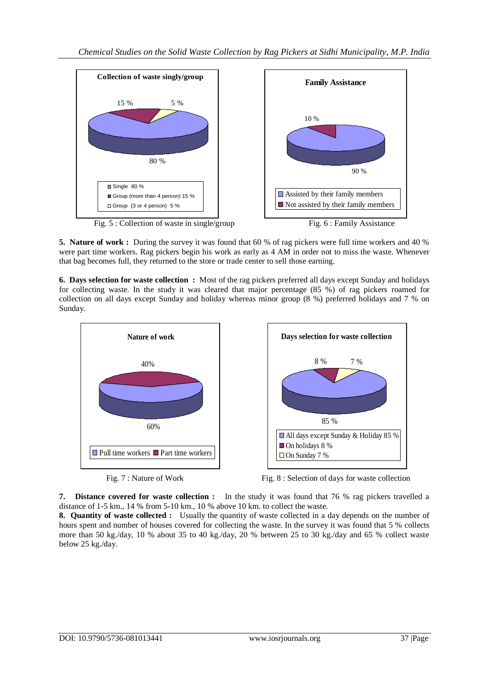

**5. Nature of work :** During the survey it was found that 60 % of rag pickers were full time workers and 40 % were part time workers. Rag pickers begin his work as early as 4 AM in order not to miss the waste. Whenever that bag becomes full, they returned to the store or trade center to sell those earning.

**6. Days selection for waste collection :** Most of the rag pickers preferred all days except Sunday and holidays for collecting waste. In the study it was cleared that major percentage (85 %) of rag pickers roamed for collection on all days except Sunday and holiday whereas minor group (8 %) preferred holidays and 7 % on Sunday.



Fig. 7 : Nature of Work Fig. 8 : Selection of days for waste collection

**7. Distance covered for waste collection :** In the study it was found that 76 % rag pickers travelled a distance of 1-5 km., 14 % from 5-10 km., 10 % above 10 km. to collect the waste.

**8. Quantity of waste collected :** Usually the quantity of waste collected in a day depends on the number of hours spent and number of houses covered for collecting the waste. In the survey it was found that 5 % collects more than 50 kg./day, 10 % about 35 to 40 kg./day, 20 % between 25 to 30 kg./day and 65 % collect waste below 25 kg./day.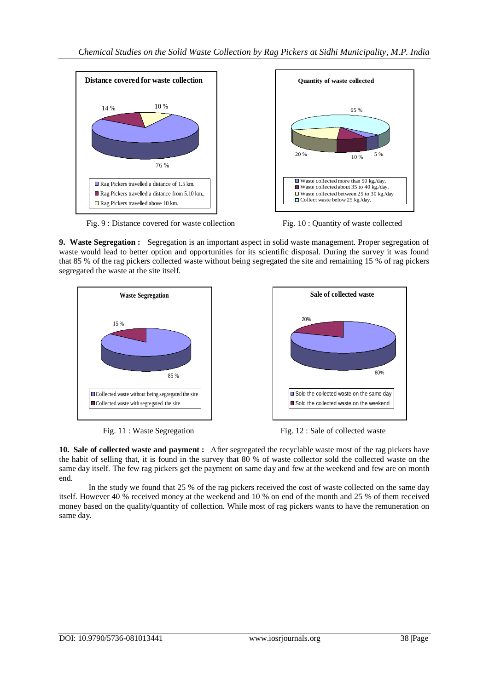

Fig. 9 : Distance covered for waste collectionFig. 10 : Quantity of waste collected

**9. Waste Segregation :** Segregation is an important aspect in solid waste management. Proper segregation of waste would lead to better option and opportunities for its scientific disposal. During the survey it was found that 85 % of the rag pickers collected waste without being segregated the site and remaining 15 % of rag pickers segregated the waste at the site itself.



Fig. 11 : Waste Segregation **Fig. 12 : Sale of collected waste** 

**10. Sale of collected waste and payment :** After segregated the recyclable waste most of the rag pickers have the habit of selling that, it is found in the survey that 80 % of waste collector sold the collected waste on the same day itself. The few rag pickers get the payment on same day and few at the weekend and few are on month end.

In the study we found that 25 % of the rag pickers received the cost of waste collected on the same day itself. However 40 % received money at the weekend and 10 % on end of the month and 25 % of them received money based on the quality/quantity of collection. While most of rag pickers wants to have the remuneration on same day.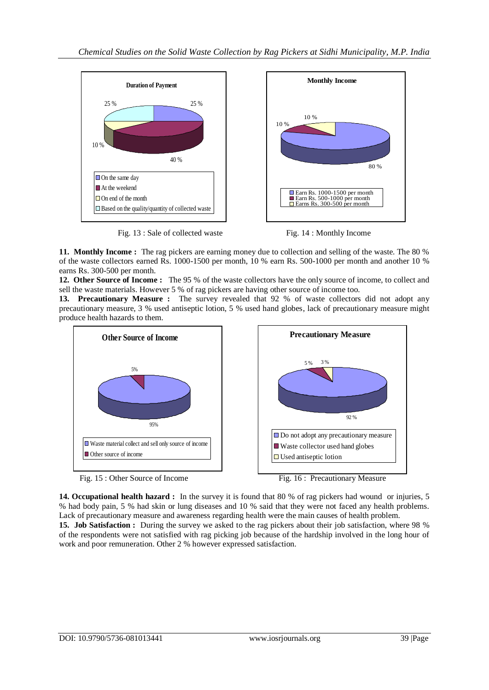

Fig. 13 : Sale of collected waste Fig. 14 : Monthly Income



**11. Monthly Income :** The rag pickers are earning money due to collection and selling of the waste. The 80 % of the waste collectors earned Rs. 1000-1500 per month, 10 % earn Rs. 500-1000 per month and another 10 % earns Rs. 300-500 per month.

**12. Other Source of Income :** The 95 % of the waste collectors have the only source of income, to collect and sell the waste materials. However 5 % of rag pickers are having other source of income too.

13. Precautionary Measure : The survey revealed that 92 % of waste collectors did not adopt any precautionary measure, 3 % used antiseptic lotion, 5 % used hand globes, lack of precautionary measure might produce health hazards to them.





**14. Occupational health hazard :** In the survey it is found that 80 % of rag pickers had wound or injuries, 5 % had body pain, 5 % had skin or lung diseases and 10 % said that they were not faced any health problems. Lack of precautionary measure and awareness regarding health were the main causes of health problem. **15. Job Satisfaction :** During the survey we asked to the rag pickers about their job satisfaction, where 98 %

of the respondents were not satisfied with rag picking job because of the hardship involved in the long hour of work and poor remuneration. Other 2 % however expressed satisfaction.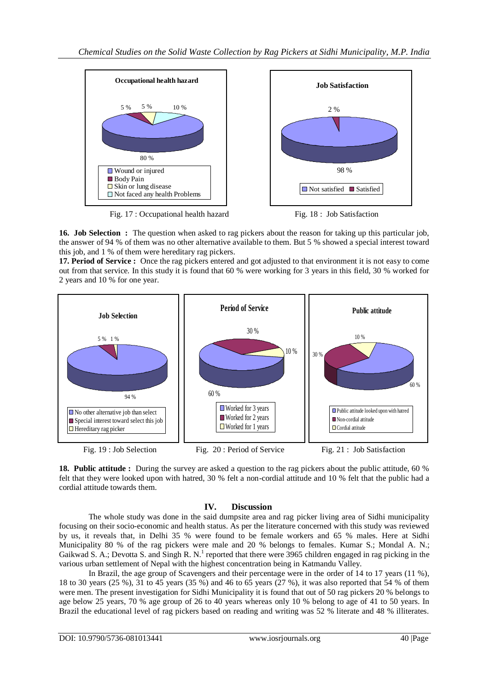

**16. Job Selection :** The question when asked to rag pickers about the reason for taking up this particular job, the answer of 94 % of them was no other alternative available to them. But 5 % showed a special interest toward this job, and 1 % of them were hereditary rag pickers.

**17. Period of Service :** Once the rag pickers entered and got adjusted to that environment it is not easy to come out from that service. In this study it is found that 60 % were working for 3 years in this field, 30 % worked for 2 years and 10 % for one year.



**18. Public attitude :** During the survey are asked a question to the rag pickers about the public attitude, 60 % felt that they were looked upon with hatred, 30 % felt a non-cordial attitude and 10 % felt that the public had a cordial attitude towards them.

## **IV. Discussion**

The whole study was done in the said dumpsite area and rag picker living area of Sidhi municipality focusing on their socio-economic and health status. As per the literature concerned with this study was reviewed by us, it reveals that, in Delhi 35 % were found to be female workers and 65 % males. Here at Sidhi Municipality 80 % of the rag pickers were male and 20 % belongs to females. Kumar S.; Mondal A. N.; Gaikwad S. A.; Devotta S. and Singh R. N.<sup>1</sup> reported that there were 3965 children engaged in rag picking in the various urban settlement of Nepal with the highest concentration being in Katmandu Valley.

In Brazil, the age group of Scavengers and their percentage were in the order of 14 to 17 years (11 %), 18 to 30 years (25 %), 31 to 45 years (35 %) and 46 to 65 years (27 %), it was also reported that 54 % of them were men. The present investigation for Sidhi Municipality it is found that out of 50 rag pickers 20 % belongs to age below 25 years, 70 % age group of 26 to 40 years whereas only 10 % belong to age of 41 to 50 years. In Brazil the educational level of rag pickers based on reading and writing was 52 % literate and 48 % illiterates.